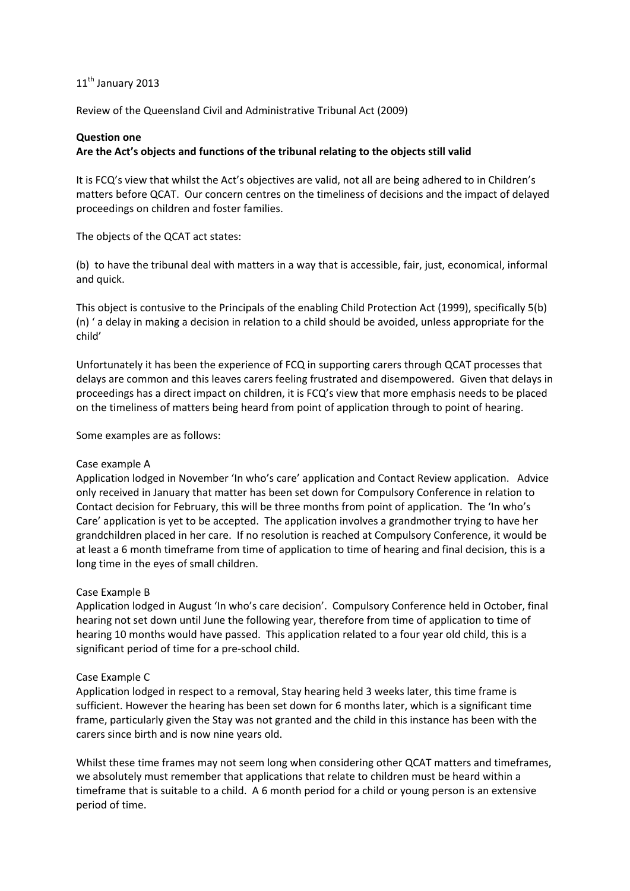# 11<sup>th</sup> January 2013

Review of the Queensland Civil and Administrative Tribunal Act (2009)

### **Question one**

### **Are the Act's objects and functions of the tribunal relating to the objects still valid**

It is FCQ's view that whilst the Act's objectives are valid, not all are being adhered to in Children's matters before QCAT. Our concern centres on the timeliness of decisions and the impact of delayed proceedings on children and foster families.

The objects of the QCAT act states:

(b) to have the tribunal deal with matters in a way that is accessible, fair, just, economical, informal and quick.

This object is contusive to the Principals of the enabling Child Protection Act (1999), specifically 5(b) (n) ' a delay in making a decision in relation to a child should be avoided, unless appropriate for the child'

Unfortunately it has been the experience of FCQ in supporting carers through QCAT processes that delays are common and this leaves carers feeling frustrated and disempowered. Given that delays in proceedings has a direct impact on children, it is FCQ's view that more emphasis needs to be placed on the timeliness of matters being heard from point of application through to point of hearing.

Some examples are as follows:

### Case example A

Application lodged in November 'In who's care' application and Contact Review application. Advice only received in January that matter has been set down for Compulsory Conference in relation to Contact decision for February, this will be three months from point of application. The 'In who's Care' application is yet to be accepted. The application involves a grandmother trying to have her grandchildren placed in her care. If no resolution is reached at Compulsory Conference, it would be at least a 6 month timeframe from time of application to time of hearing and final decision, this is a long time in the eyes of small children.

### Case Example B

Application lodged in August 'In who's care decision'. Compulsory Conference held in October, final hearing not set down until June the following year, therefore from time of application to time of hearing 10 months would have passed. This application related to a four year old child, this is a significant period of time for a pre‐school child.

### Case Example C

Application lodged in respect to a removal, Stay hearing held 3 weeks later, this time frame is sufficient. However the hearing has been set down for 6 months later, which is a significant time frame, particularly given the Stay was not granted and the child in this instance has been with the carers since birth and is now nine years old.

Whilst these time frames may not seem long when considering other QCAT matters and timeframes, we absolutely must remember that applications that relate to children must be heard within a timeframe that is suitable to a child. A 6 month period for a child or young person is an extensive period of time.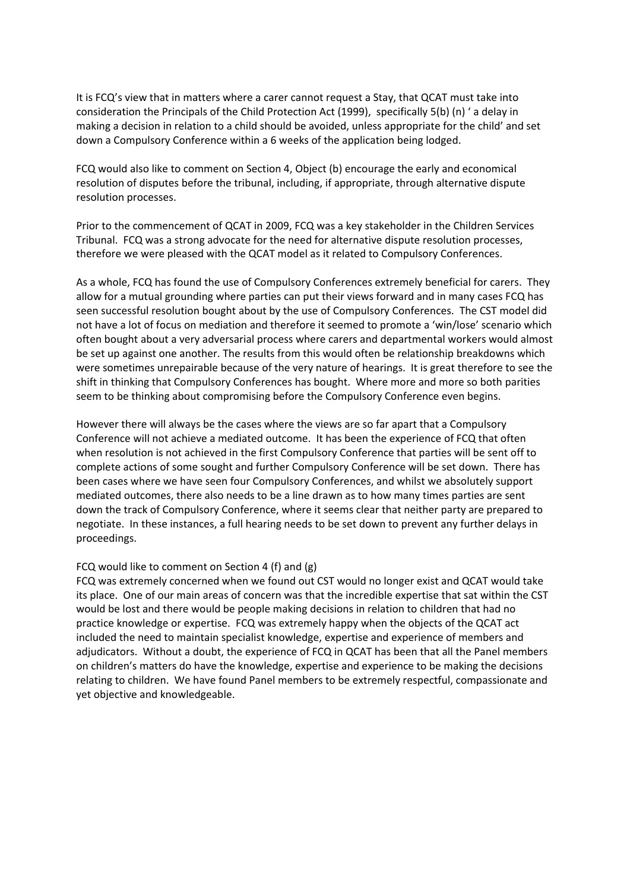It is FCQ's view that in matters where a carer cannot request a Stay, that QCAT must take into consideration the Principals of the Child Protection Act (1999), specifically 5(b) (n) ' a delay in making a decision in relation to a child should be avoided, unless appropriate for the child' and set down a Compulsory Conference within a 6 weeks of the application being lodged.

FCQ would also like to comment on Section 4, Object (b) encourage the early and economical resolution of disputes before the tribunal, including, if appropriate, through alternative dispute resolution processes.

Prior to the commencement of QCAT in 2009, FCQ was a key stakeholder in the Children Services Tribunal. FCQ was a strong advocate for the need for alternative dispute resolution processes, therefore we were pleased with the QCAT model as it related to Compulsory Conferences.

As a whole, FCQ has found the use of Compulsory Conferences extremely beneficial for carers. They allow for a mutual grounding where parties can put their views forward and in many cases FCQ has seen successful resolution bought about by the use of Compulsory Conferences. The CST model did not have a lot of focus on mediation and therefore it seemed to promote a 'win/lose' scenario which often bought about a very adversarial process where carers and departmental workers would almost be set up against one another. The results from this would often be relationship breakdowns which were sometimes unrepairable because of the very nature of hearings. It is great therefore to see the shift in thinking that Compulsory Conferences has bought. Where more and more so both parities seem to be thinking about compromising before the Compulsory Conference even begins.

However there will always be the cases where the views are so far apart that a Compulsory Conference will not achieve a mediated outcome. It has been the experience of FCQ that often when resolution is not achieved in the first Compulsory Conference that parties will be sent off to complete actions of some sought and further Compulsory Conference will be set down. There has been cases where we have seen four Compulsory Conferences, and whilst we absolutely support mediated outcomes, there also needs to be a line drawn as to how many times parties are sent down the track of Compulsory Conference, where it seems clear that neither party are prepared to negotiate. In these instances, a full hearing needs to be set down to prevent any further delays in proceedings.

### FCQ would like to comment on Section 4 (f) and (g)

FCQ was extremely concerned when we found out CST would no longer exist and QCAT would take its place. One of our main areas of concern was that the incredible expertise that sat within the CST would be lost and there would be people making decisions in relation to children that had no practice knowledge or expertise. FCQ was extremely happy when the objects of the QCAT act included the need to maintain specialist knowledge, expertise and experience of members and adjudicators. Without a doubt, the experience of FCQ in QCAT has been that all the Panel members on children's matters do have the knowledge, expertise and experience to be making the decisions relating to children. We have found Panel members to be extremely respectful, compassionate and yet objective and knowledgeable.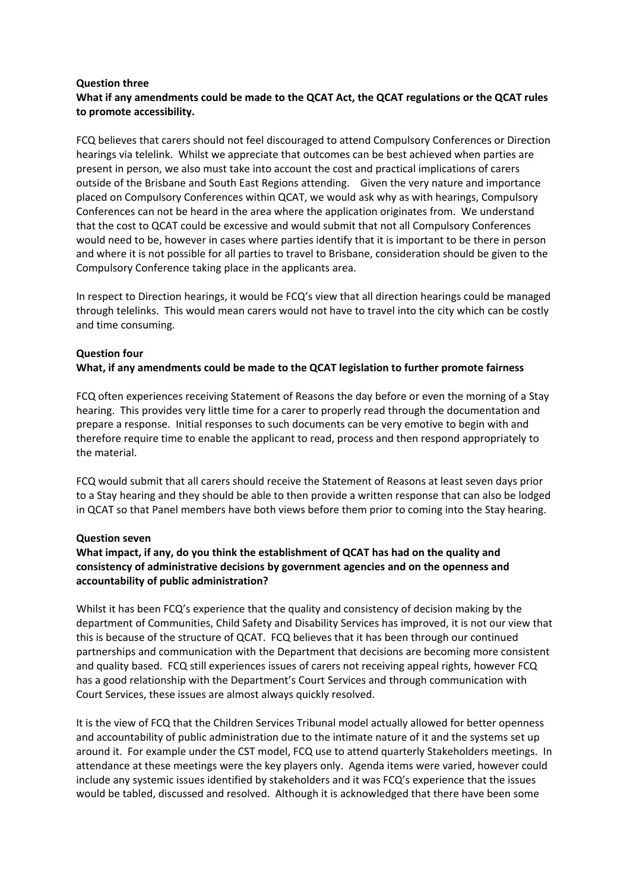### **Question three What if any amendments could be made to the QCAT Act, the QCAT regulations or the QCAT rules to promote accessibility.**

FCQ believes that carers should not feel discouraged to attend Compulsory Conferences or Direction hearings via telelink. Whilst we appreciate that outcomes can be best achieved when parties are present in person, we also must take into account the cost and practical implications of carers outside of the Brisbane and South East Regions attending. Given the very nature and importance placed on Compulsory Conferences within QCAT, we would ask why as with hearings, Compulsory Conferences can not be heard in the area where the application originates from. We understand that the cost to QCAT could be excessive and would submit that not all Compulsory Conferences would need to be, however in cases where parties identify that it is important to be there in person and where it is not possible for all parties to travel to Brisbane, consideration should be given to the Compulsory Conference taking place in the applicants area.

In respect to Direction hearings, it would be FCQ's view that all direction hearings could be managed through telelinks. This would mean carers would not have to travel into the city which can be costly and time consuming.

# **Question four**

**What, if any amendments could be made to the QCAT legislation to further promote fairness**

FCQ often experiences receiving Statement of Reasons the day before or even the morning of a Stay hearing. This provides very little time for a carer to properly read through the documentation and prepare a response. Initial responses to such documents can be very emotive to begin with and therefore require time to enable the applicant to read, process and then respond appropriately to the material.

FCQ would submit that all carers should receive the Statement of Reasons at least seven days prior to a Stay hearing and they should be able to then provide a written response that can also be lodged in QCAT so that Panel members have both views before them prior to coming into the Stay hearing.

### **Question seven**

# **What impact, if any, do you think the establishment of QCAT has had on the quality and consistency of administrative decisions by government agencies and on the openness and accountability of public administration?**

Whilst it has been FCQ's experience that the quality and consistency of decision making by the department of Communities, Child Safety and Disability Services has improved, it is not our view that this is because of the structure of QCAT. FCQ believes that it has been through our continued partnerships and communication with the Department that decisions are becoming more consistent and quality based. FCQ still experiences issues of carers not receiving appeal rights, however FCQ has a good relationship with the Department's Court Services and through communication with Court Services, these issues are almost always quickly resolved.

It is the view of FCQ that the Children Services Tribunal model actually allowed for better openness and accountability of public administration due to the intimate nature of it and the systems set up around it. For example under the CST model, FCQ use to attend quarterly Stakeholders meetings. In attendance at these meetings were the key players only. Agenda items were varied, however could include any systemic issues identified by stakeholders and it was FCQ's experience that the issues would be tabled, discussed and resolved. Although it is acknowledged that there have been some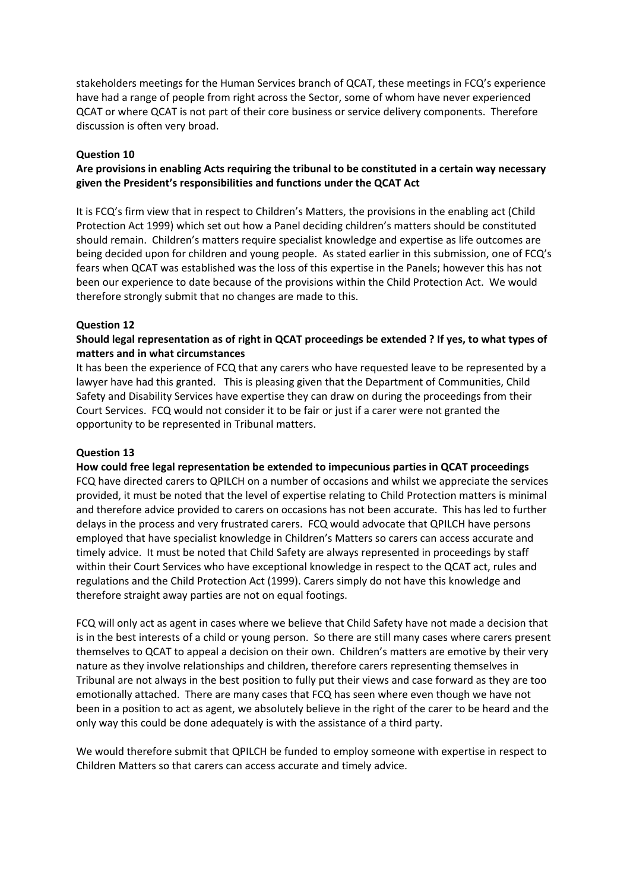stakeholders meetings for the Human Services branch of QCAT, these meetings in FCQ's experience have had a range of people from right across the Sector, some of whom have never experienced QCAT or where QCAT is not part of their core business or service delivery components. Therefore discussion is often very broad.

### **Question 10**

# **Are provisions in enabling Acts requiring the tribunal to be constituted in a certain way necessary given the President's responsibilities and functions under the QCAT Act**

It is FCQ's firm view that in respect to Children's Matters, the provisions in the enabling act (Child Protection Act 1999) which set out how a Panel deciding children's matters should be constituted should remain. Children's matters require specialist knowledge and expertise as life outcomes are being decided upon for children and young people. As stated earlier in this submission, one of FCQ's fears when QCAT was established was the loss of this expertise in the Panels; however this has not been our experience to date because of the provisions within the Child Protection Act. We would therefore strongly submit that no changes are made to this.

### **Question 12**

## **Should legal representation as of right in QCAT proceedings be extended ? If yes, to what types of matters and in what circumstances**

It has been the experience of FCQ that any carers who have requested leave to be represented by a lawyer have had this granted. This is pleasing given that the Department of Communities, Child Safety and Disability Services have expertise they can draw on during the proceedings from their Court Services. FCQ would not consider it to be fair or just if a carer were not granted the opportunity to be represented in Tribunal matters.

### **Question 13**

### **How could free legal representation be extended to impecunious parties in QCAT proceedings**

FCQ have directed carers to QPILCH on a number of occasions and whilst we appreciate the services provided, it must be noted that the level of expertise relating to Child Protection matters is minimal and therefore advice provided to carers on occasions has not been accurate. This has led to further delays in the process and very frustrated carers. FCQ would advocate that QPILCH have persons employed that have specialist knowledge in Children's Matters so carers can access accurate and timely advice. It must be noted that Child Safety are always represented in proceedings by staff within their Court Services who have exceptional knowledge in respect to the QCAT act, rules and regulations and the Child Protection Act (1999). Carers simply do not have this knowledge and therefore straight away parties are not on equal footings.

FCQ will only act as agent in cases where we believe that Child Safety have not made a decision that is in the best interests of a child or young person. So there are still many cases where carers present themselves to QCAT to appeal a decision on their own. Children's matters are emotive by their very nature as they involve relationships and children, therefore carers representing themselves in Tribunal are not always in the best position to fully put their views and case forward as they are too emotionally attached. There are many cases that FCQ has seen where even though we have not been in a position to act as agent, we absolutely believe in the right of the carer to be heard and the only way this could be done adequately is with the assistance of a third party.

We would therefore submit that QPILCH be funded to employ someone with expertise in respect to Children Matters so that carers can access accurate and timely advice.